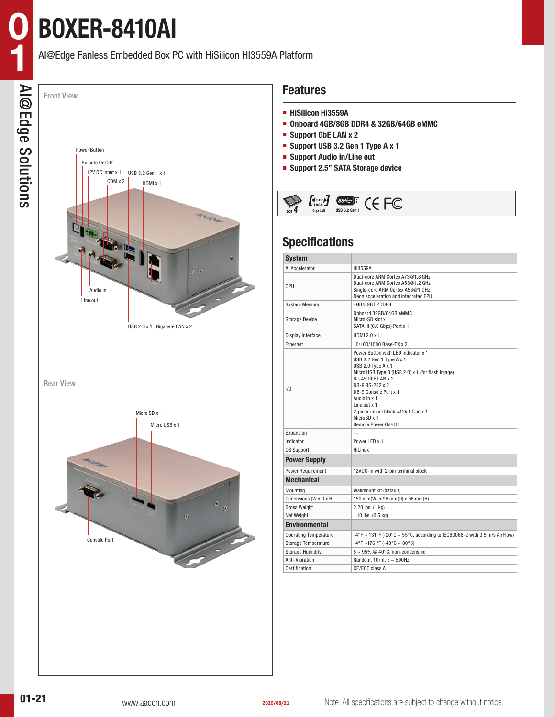# **BOXER-8410AI**

**0**

#### AI@Edge Fanless Embedded Box PC with HiSilicon HI3559A Platform



### **Features**

- **HiSilicon Hi3559A**
- **Onboard 4GB/8GB DDR4 & 32GB/64GB eMMC**
- **Support GbE LAN x 2**
- **Support USB 3.2 Gen 1 Type A x 1**
- **Support Audio in/Line out**
- **Support 2.5" SATA Storage device**



### **Specifications**

| <b>System</b>                |                                                                                                                                                                                                                                                                                                                               |  |  |  |  |  |  |
|------------------------------|-------------------------------------------------------------------------------------------------------------------------------------------------------------------------------------------------------------------------------------------------------------------------------------------------------------------------------|--|--|--|--|--|--|
| Al Accelerator               | Hi3559A                                                                                                                                                                                                                                                                                                                       |  |  |  |  |  |  |
| CPU                          | Dual-core ARM Cortex A73@1.8 GHz<br>Dual-core ARM Cortex A53@1.2 GHz<br>Single-core ARM Cortex A53@1 GHz<br>Neon acceleration and integrated FPU                                                                                                                                                                              |  |  |  |  |  |  |
| <b>System Memory</b>         | 4GB/8GB LPDDR4                                                                                                                                                                                                                                                                                                                |  |  |  |  |  |  |
| <b>Storage Device</b>        | Onboard 32GB/64GB eMMC<br>Micro-SD slot x 1<br>SATA III (6.0 Gbps) Port x 1                                                                                                                                                                                                                                                   |  |  |  |  |  |  |
| Display Interface            | HDMI 2.0 x 1                                                                                                                                                                                                                                                                                                                  |  |  |  |  |  |  |
| Ethernet                     | 10/100/1000 Base-TX x 2                                                                                                                                                                                                                                                                                                       |  |  |  |  |  |  |
| 1/0                          | Power Button with LED indicator x 1<br>USB 3.2 Gen 1 Type A x 1<br>USB 2.0 Type A x 1<br>Micro USB Type B (USB 2.0) x 1 (for flash image)<br>$RJ-45$ GbE LAN $x$ 2<br>DB-9 RS-232 x 2<br>DB-9 Console Port x 1<br>Audio in x 1<br>Line out $x$ 1<br>2-pin terminal block +12V DC-in x 1<br>MicroSD x 1<br>Remote Power On/Off |  |  |  |  |  |  |
| Expansion                    |                                                                                                                                                                                                                                                                                                                               |  |  |  |  |  |  |
| Indicator                    | Power LED x 1                                                                                                                                                                                                                                                                                                                 |  |  |  |  |  |  |
| <b>OS Support</b>            | HiLinux                                                                                                                                                                                                                                                                                                                       |  |  |  |  |  |  |
| <b>Power Supply</b>          |                                                                                                                                                                                                                                                                                                                               |  |  |  |  |  |  |
| <b>Power Requirement</b>     | 12VDC-in with 2-pin terminal block                                                                                                                                                                                                                                                                                            |  |  |  |  |  |  |
| <b>Mechanical</b>            |                                                                                                                                                                                                                                                                                                                               |  |  |  |  |  |  |
| Mounting                     | Wallmount kit (default)                                                                                                                                                                                                                                                                                                       |  |  |  |  |  |  |
| Dimensions (W x D x H)       | 150 mm(W) x 96 mm(D) x 56 mm(H)                                                                                                                                                                                                                                                                                               |  |  |  |  |  |  |
| <b>Gross Weight</b>          | 2.20 lbs. (1 kg)                                                                                                                                                                                                                                                                                                              |  |  |  |  |  |  |
| Net Weight                   | 1.10 lbs. (0.5 kg)                                                                                                                                                                                                                                                                                                            |  |  |  |  |  |  |
| <b>Environmental</b>         |                                                                                                                                                                                                                                                                                                                               |  |  |  |  |  |  |
| <b>Operating Temperature</b> | -4°F ~ 131°F (-20°C ~ 55°C, according to IEC60068-2 with 0.5 m/s AirFlow)                                                                                                                                                                                                                                                     |  |  |  |  |  |  |
| <b>Storage Temperature</b>   | $-4^{\circ}$ F ~176 °F (-40°C ~ 80°C)                                                                                                                                                                                                                                                                                         |  |  |  |  |  |  |
| <b>Storage Humidity</b>      | $5 \sim 95\%$ @ 40°C, non-condensing                                                                                                                                                                                                                                                                                          |  |  |  |  |  |  |
| Anti-Vibration               | Random, 1Grm, 5 ~ 500Hz                                                                                                                                                                                                                                                                                                       |  |  |  |  |  |  |
| Certification                | CE/FCC class A                                                                                                                                                                                                                                                                                                                |  |  |  |  |  |  |